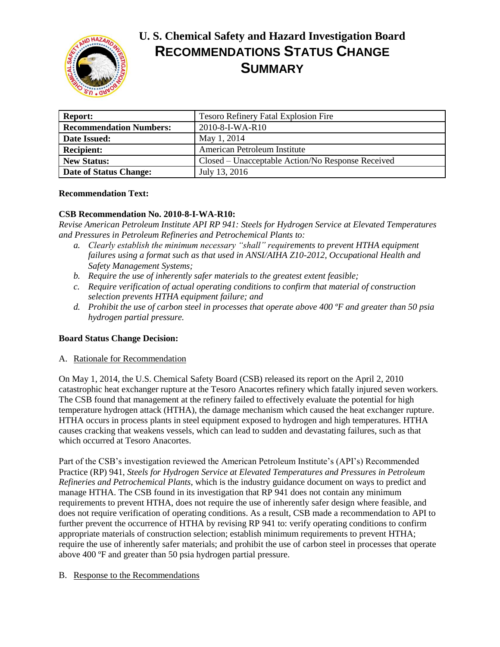

# **U. S. Chemical Safety and Hazard Investigation Board RECOMMENDATIONS STATUS CHANGE SUMMARY**

| <b>Report:</b>                 | Tesoro Refinery Fatal Explosion Fire              |
|--------------------------------|---------------------------------------------------|
| <b>Recommendation Numbers:</b> | 2010-8-I-WA-R10                                   |
| Date Issued:                   | May 1, 2014                                       |
| <b>Recipient:</b>              | American Petroleum Institute                      |
| <b>New Status:</b>             | Closed – Unacceptable Action/No Response Received |
| Date of Status Change:         | July 13, 2016                                     |

# **Recommendation Text:**

# **CSB Recommendation No. 2010-8-I-WA-R10:**

*Revise American Petroleum Institute API RP 941: Steels for Hydrogen Service at Elevated Temperatures and Pressures in Petroleum Refineries and Petrochemical Plants to:* 

- *a. Clearly establish the minimum necessary "shall" requirements to prevent HTHA equipment failures using a format such as that used in ANSI/AIHA Z10-2012, Occupational Health and Safety Management Systems;*
- *b. Require the use of inherently safer materials to the greatest extent feasible;*
- *c. Require verification of actual operating conditions to confirm that material of construction selection prevents HTHA equipment failure; and*
- *d. Prohibit the use of carbon steel in processes that operate above 400 ºF and greater than 50 psia hydrogen partial pressure.*

### **Board Status Change Decision:**

### A. Rationale for Recommendation

On May 1, 2014, the U.S. Chemical Safety Board (CSB) released its report on the April 2, 2010 catastrophic heat exchanger rupture at the Tesoro Anacortes refinery which fatally injured seven workers. The CSB found that management at the refinery failed to effectively evaluate the potential for high temperature hydrogen attack (HTHA), the damage mechanism which caused the heat exchanger rupture. HTHA occurs in process plants in steel equipment exposed to hydrogen and high temperatures. HTHA causes cracking that weakens vessels, which can lead to sudden and devastating failures, such as that which occurred at Tesoro Anacortes.

Part of the CSB's investigation reviewed the American Petroleum Institute's (API's) Recommended Practice (RP) 941, *Steels for Hydrogen Service at Elevated Temperatures and Pressures in Petroleum Refineries and Petrochemical Plants*, which is the industry guidance document on ways to predict and manage HTHA. The CSB found in its investigation that RP 941 does not contain any minimum requirements to prevent HTHA, does not require the use of inherently safer design where feasible, and does not require verification of operating conditions. As a result, CSB made a recommendation to API to further prevent the occurrence of HTHA by revising RP 941 to: verify operating conditions to confirm appropriate materials of construction selection; establish minimum requirements to prevent HTHA; require the use of inherently safer materials; and prohibit the use of carbon steel in processes that operate above 400 ºF and greater than 50 psia hydrogen partial pressure.

### B. Response to the Recommendations